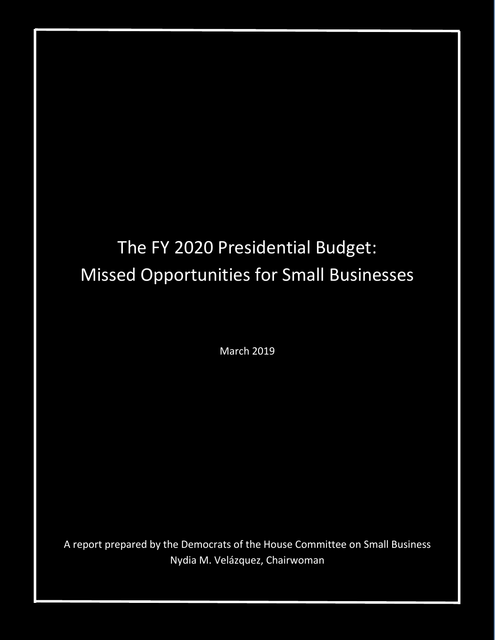# The FY 2020 Presidential Budget: Missed Opportunities for Small Businesses

March 2019

A report prepared by the Democrats of the House Committee on Small Business Nydia M. Velázquez, Chairwoman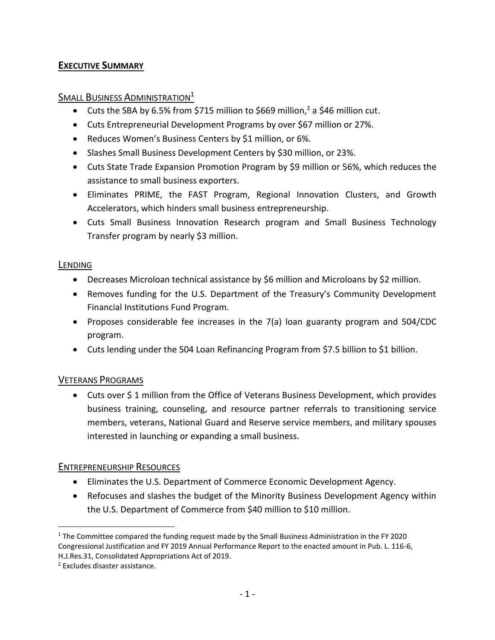# **EXECUTIVE SUMMARY**

#### SMALL BUSINESS ADMINISTRATION<sup>1</sup>

- Cuts the SBA by 6.5% from \$715 million to \$669 million,<sup>2</sup> a \$46 million cut.
- Cuts Entrepreneurial Development Programs by over \$67 million or 27%.
- Reduces Women's Business Centers by \$1 million, or 6%.
- Slashes Small Business Development Centers by \$30 million, or 23%.
- Cuts State Trade Expansion Promotion Program by \$9 million or 56%, which reduces the assistance to small business exporters.
- Eliminates PRIME, the FAST Program, Regional Innovation Clusters, and Growth Accelerators, which hinders small business entrepreneurship.
- Cuts Small Business Innovation Research program and Small Business Technology Transfer program by nearly \$3 million.

#### **LENDING**

- Decreases Microloan technical assistance by \$6 million and Microloans by \$2 million.
- Removes funding for the U.S. Department of the Treasury's Community Development Financial Institutions Fund Program.
- Proposes considerable fee increases in the 7(a) loan guaranty program and 504/CDC program.
- Cuts lending under the 504 Loan Refinancing Program from \$7.5 billion to \$1 billion.

# VETERANS PROGRAMS

• Cuts over \$ 1 million from the Office of Veterans Business Development, which provides business training, counseling, and resource partner referrals to transitioning service members, veterans, National Guard and Reserve service members, and military spouses interested in launching or expanding a small business.

#### ENTREPRENEURSHIP RESOURCES

- Eliminates the U.S. Department of Commerce Economic Development Agency.
- Refocuses and slashes the budget of the Minority Business Development Agency within the U.S. Department of Commerce from \$40 million to \$10 million.

<sup>1</sup> The Committee compared the funding request made by the Small Business Administration in the FY 2020 Congressional Justification and FY 2019 Annual Performance Report to the enacted amount in Pub. L. 116-6, H.J.Res.31, Consolidated Appropriations Act of 2019.

<sup>2</sup> Excludes disaster assistance.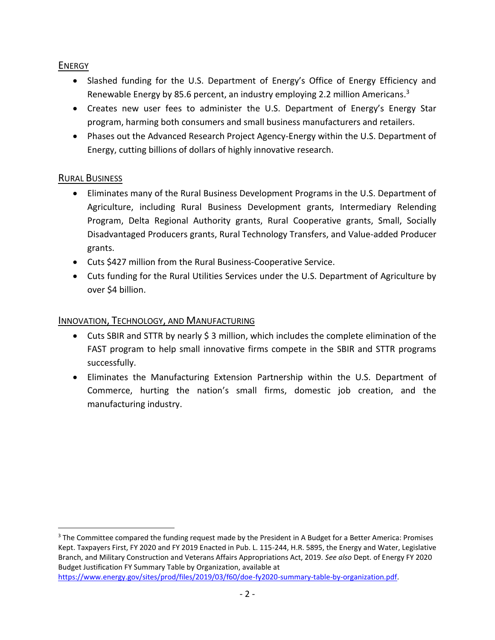# ENERGY

- Slashed funding for the U.S. Department of Energy's Office of Energy Efficiency and Renewable Energy by 85.6 percent, an industry employing 2.2 million Americans.<sup>3</sup>
- Creates new user fees to administer the U.S. Department of Energy's Energy Star program, harming both consumers and small business manufacturers and retailers.
- Phases out the Advanced Research Project Agency-Energy within the U.S. Department of Energy, cutting billions of dollars of highly innovative research.

# RURAL BUSINESS

 $\overline{a}$ 

- Eliminates many of the Rural Business Development Programs in the U.S. Department of Agriculture, including Rural Business Development grants, Intermediary Relending Program, Delta Regional Authority grants, Rural Cooperative grants, Small, Socially Disadvantaged Producers grants, Rural Technology Transfers, and Value-added Producer grants.
- Cuts \$427 million from the Rural Business-Cooperative Service.
- Cuts funding for the Rural Utilities Services under the U.S. Department of Agriculture by over \$4 billion.

# INNOVATION, TECHNOLOGY, AND MANUFACTURING

- Cuts SBIR and STTR by nearly \$ 3 million, which includes the complete elimination of the FAST program to help small innovative firms compete in the SBIR and STTR programs successfully.
- Eliminates the Manufacturing Extension Partnership within the U.S. Department of Commerce, hurting the nation's small firms, domestic job creation, and the manufacturing industry.

<sup>&</sup>lt;sup>3</sup> The Committee compared the funding request made by the President in A Budget for a Better America: Promises Kept. Taxpayers First, FY 2020 and FY 2019 Enacted in Pub. L. 115-244, H.R. 5895, the Energy and Water, Legislative Branch, and Military Construction and Veterans Affairs Appropriations Act, 2019. *See also* Dept. of Energy FY 2020 Budget Justification FY Summary Table by Organization, available at [https://www.energy.gov/sites/prod/files/2019/03/f60/doe-fy2020-summary-table-by-organization.pdf.](https://www.energy.gov/sites/prod/files/2019/03/f60/doe-fy2020-summary-table-by-organization.pdf)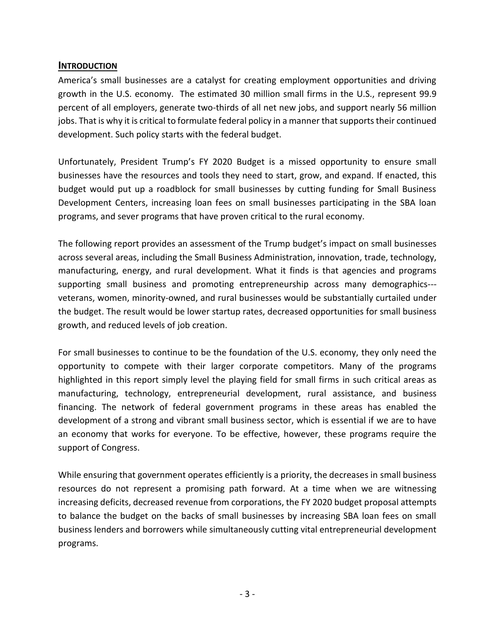#### **INTRODUCTION**

America's small businesses are a catalyst for creating employment opportunities and driving growth in the U.S. economy. The estimated 30 million small firms in the U.S., represent 99.9 percent of all employers, generate two-thirds of all net new jobs, and support nearly 56 million jobs. That is why it is critical to formulate federal policy in a manner that supports their continued development. Such policy starts with the federal budget.

Unfortunately, President Trump's FY 2020 Budget is a missed opportunity to ensure small businesses have the resources and tools they need to start, grow, and expand. If enacted, this budget would put up a roadblock for small businesses by cutting funding for Small Business Development Centers, increasing loan fees on small businesses participating in the SBA loan programs, and sever programs that have proven critical to the rural economy.

The following report provides an assessment of the Trump budget's impact on small businesses across several areas, including the Small Business Administration, innovation, trade, technology, manufacturing, energy, and rural development. What it finds is that agencies and programs supporting small business and promoting entrepreneurship across many demographics-- veterans, women, minority-owned, and rural businesses would be substantially curtailed under the budget. The result would be lower startup rates, decreased opportunities for small business growth, and reduced levels of job creation.

For small businesses to continue to be the foundation of the U.S. economy, they only need the opportunity to compete with their larger corporate competitors. Many of the programs highlighted in this report simply level the playing field for small firms in such critical areas as manufacturing, technology, entrepreneurial development, rural assistance, and business financing. The network of federal government programs in these areas has enabled the development of a strong and vibrant small business sector, which is essential if we are to have an economy that works for everyone. To be effective, however, these programs require the support of Congress.

While ensuring that government operates efficiently is a priority, the decreases in small business resources do not represent a promising path forward. At a time when we are witnessing increasing deficits, decreased revenue from corporations, the FY 2020 budget proposal attempts to balance the budget on the backs of small businesses by increasing SBA loan fees on small business lenders and borrowers while simultaneously cutting vital entrepreneurial development programs.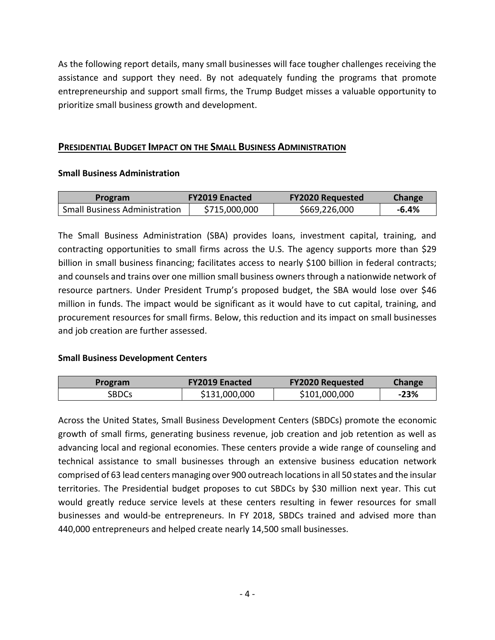As the following report details, many small businesses will face tougher challenges receiving the assistance and support they need. By not adequately funding the programs that promote entrepreneurship and support small firms, the Trump Budget misses a valuable opportunity to prioritize small business growth and development.

#### **PRESIDENTIAL BUDGET IMPACT ON THE SMALL BUSINESS ADMINISTRATION**

#### **Small Business Administration**

| Program                                    | <b>FY2019 Enacted</b> | <b>FY2020 Requested</b> | Change |
|--------------------------------------------|-----------------------|-------------------------|--------|
| <sup>1</sup> Small Business Administration | \$715,000,000         | \$669,226,000           | -6.4%  |

The Small Business Administration (SBA) provides loans, investment capital, training, and contracting opportunities to small firms across the U.S. The agency supports more than \$29 billion in small business financing; facilitates access to nearly \$100 billion in federal contracts; and counsels and trains over one million small business owners through a nationwide network of resource partners. Under President Trump's proposed budget, the SBA would lose over \$46 million in funds. The impact would be significant as it would have to cut capital, training, and procurement resources for small firms. Below, this reduction and its impact on small businesses and job creation are further assessed.

#### **Small Business Development Centers**

| Program      | <b>FY2019 Enacted</b> | <b>FY2020 Requested</b> | Change |
|--------------|-----------------------|-------------------------|--------|
| <b>SBDCs</b> | \$131,000,000         | \$101,000,000           | $-23%$ |

Across the United States, Small Business Development Centers (SBDCs) promote the economic growth of small firms, generating business revenue, job creation and job retention as well as advancing local and regional economies. These centers provide a wide range of counseling and technical assistance to small businesses through an extensive business education network comprised of 63 lead centers managing over 900 outreach locations in all 50 states and the insular territories. The Presidential budget proposes to cut SBDCs by \$30 million next year. This cut would greatly reduce service levels at these centers resulting in fewer resources for small businesses and would-be entrepreneurs. In FY 2018, SBDCs trained and advised more than 440,000 entrepreneurs and helped create nearly 14,500 small businesses.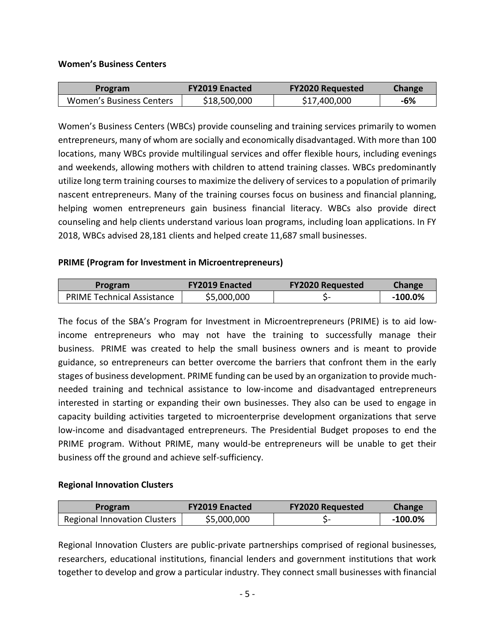#### **Women's Business Centers**

| Program                  | <b>FY2019 Enacted</b> | <b>FY2020 Requested</b> | Change |
|--------------------------|-----------------------|-------------------------|--------|
| Women's Business Centers | \$18,500,000          | \$17,400,000            | -6%    |

Women's Business Centers (WBCs) provide counseling and training services primarily to women entrepreneurs, many of whom are socially and economically disadvantaged. With more than 100 locations, many WBCs provide multilingual services and offer flexible hours, including evenings and weekends, allowing mothers with children to attend training classes. WBCs predominantly utilize long term training courses to maximize the delivery of services to a population of primarily nascent entrepreneurs. Many of the training courses focus on business and financial planning, helping women entrepreneurs gain business financial literacy. WBCs also provide direct counseling and help clients understand various loan programs, including loan applications. In FY 2018, WBCs advised 28,181 clients and helped create 11,687 small businesses.

#### **PRIME (Program for Investment in Microentrepreneurs)**

| Program                           | <b>FY2019 Enacted</b> | <b>FY2020 Requested</b> | Change     |
|-----------------------------------|-----------------------|-------------------------|------------|
| <b>PRIME Technical Assistance</b> | \$5,000,000           |                         | $-100.0\%$ |

The focus of the SBA's Program for Investment in Microentrepreneurs (PRIME) is to aid lowincome entrepreneurs who may not have the training to successfully manage their business. PRIME was created to help the small business owners and is meant to provide guidance, so entrepreneurs can better overcome the barriers that confront them in the early stages of business development. PRIME funding can be used by an organization to provide muchneeded training and technical assistance to low-income and disadvantaged entrepreneurs interested in starting or expanding their own businesses. They also can be used to engage in capacity building activities targeted to microenterprise development organizations that serve low-income and disadvantaged entrepreneurs. The Presidential Budget proposes to end the PRIME program. Without PRIME, many would-be entrepreneurs will be unable to get their business off the ground and achieve self-sufficiency.

#### **Regional Innovation Clusters**

| Program                             | <b>FY2019 Enacted</b> | <b>FY2020 Requested</b> | <b>Change</b> |
|-------------------------------------|-----------------------|-------------------------|---------------|
| <b>Regional Innovation Clusters</b> | \$5,000,000           |                         | $-100.0\%$    |

Regional Innovation Clusters are public-private partnerships comprised of regional businesses, researchers, educational institutions, financial lenders and government institutions that work together to develop and grow a particular industry. They connect small businesses with financial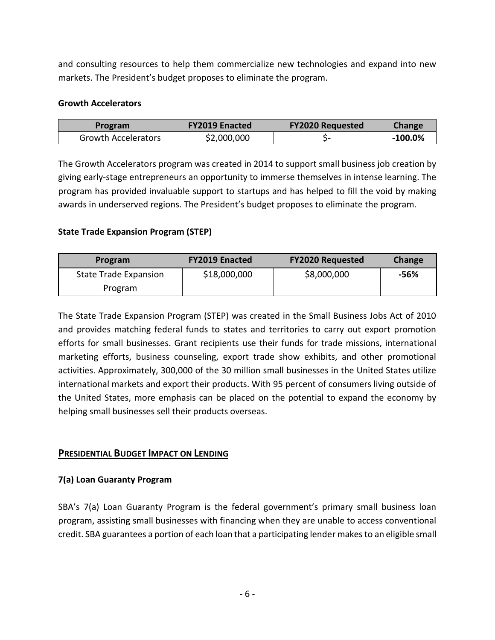and consulting resources to help them commercialize new technologies and expand into new markets. The President's budget proposes to eliminate the program.

### **Growth Accelerators**

| Program                    | <b>FY2019 Enacted</b> | <b>FY2020 Requested</b> | <b>Change</b> |
|----------------------------|-----------------------|-------------------------|---------------|
| <b>Growth Accelerators</b> | \$2,000,000           |                         | $-100.0\%$    |

The Growth Accelerators program was created in 2014 to support small business job creation by giving early-stage entrepreneurs an opportunity to immerse themselves in intense learning. The program has provided invaluable support to startups and has helped to fill the void by making awards in underserved regions. The President's budget proposes to eliminate the program.

# **State Trade Expansion Program (STEP)**

| Program                      | <b>FY2019 Enacted</b> | <b>FY2020 Requested</b> | Change |
|------------------------------|-----------------------|-------------------------|--------|
| <b>State Trade Expansion</b> | \$18,000,000          | \$8,000,000             | -56%   |
| Program                      |                       |                         |        |

The State Trade Expansion Program (STEP) was created in the Small Business Jobs Act of 2010 and provides matching federal funds to states and territories to carry out export promotion efforts for small businesses. Grant recipients use their funds for trade missions, international marketing efforts, business counseling, export trade show exhibits, and other promotional activities. Approximately, 300,000 of the 30 million small businesses in the United States utilize international markets and export their products. With 95 percent of consumers living outside of the United States, more emphasis can be placed on the potential to expand the economy by helping small businesses sell their products overseas.

# **PRESIDENTIAL BUDGET IMPACT ON LENDING**

# **7(a) Loan Guaranty Program**

SBA's 7(a) Loan Guaranty Program is the federal government's primary small business loan program, assisting small businesses with financing when they are unable to access conventional credit. SBA guarantees a portion of each loan that a participating lender makes to an eligible small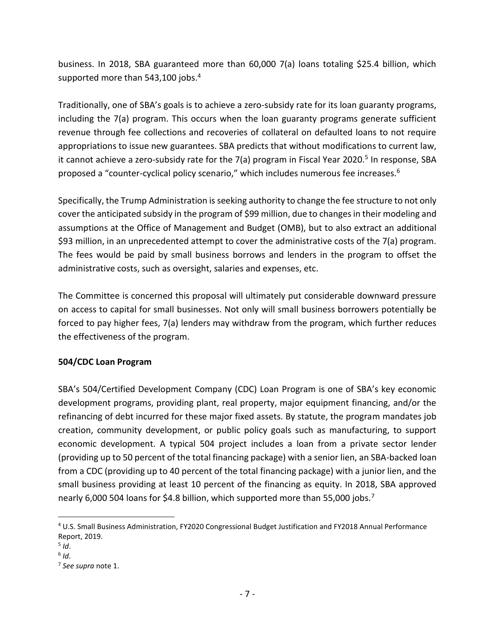business. In 2018, SBA guaranteed more than 60,000 7(a) loans totaling \$25.4 billion, which supported more than 543,100 jobs.<sup>4</sup>

Traditionally, one of SBA's goals is to achieve a zero-subsidy rate for its loan guaranty programs, including the 7(a) program. This occurs when the loan guaranty programs generate sufficient revenue through fee collections and recoveries of collateral on defaulted loans to not require appropriations to issue new guarantees. SBA predicts that without modifications to current law, it cannot achieve a zero-subsidy rate for the 7(a) program in Fiscal Year 2020.<sup>5</sup> In response, SBA proposed a "counter-cyclical policy scenario," which includes numerous fee increases.<sup>6</sup>

Specifically, the Trump Administration is seeking authority to change the fee structure to not only cover the anticipated subsidy in the program of \$99 million, due to changes in their modeling and assumptions at the Office of Management and Budget (OMB), but to also extract an additional \$93 million, in an unprecedented attempt to cover the administrative costs of the 7(a) program. The fees would be paid by small business borrows and lenders in the program to offset the administrative costs, such as oversight, salaries and expenses, etc.

The Committee is concerned this proposal will ultimately put considerable downward pressure on access to capital for small businesses. Not only will small business borrowers potentially be forced to pay higher fees, 7(a) lenders may withdraw from the program, which further reduces the effectiveness of the program.

#### **504/CDC Loan Program**

SBA's 504/Certified Development Company (CDC) Loan Program is one of SBA's key economic development programs, providing plant, real property, major equipment financing, and/or the refinancing of debt incurred for these major fixed assets. By statute, the program mandates job creation, community development, or public policy goals such as manufacturing, to support economic development. A typical 504 project includes a loan from a private sector lender (providing up to 50 percent of the total financing package) with a senior lien, an SBA-backed loan from a CDC (providing up to 40 percent of the total financing package) with a junior lien, and the small business providing at least 10 percent of the financing as equity. In 2018, SBA approved nearly 6,000 504 loans for \$4.8 billion, which supported more than 55,000 jobs.<sup>7</sup>

<sup>4</sup> U.S. Small Business Administration, FY2020 Congressional Budget Justification and FY2018 Annual Performance Report, 2019.

<sup>5</sup> *Id*.

<sup>6</sup> *Id*.

<sup>7</sup> *See supra* note 1.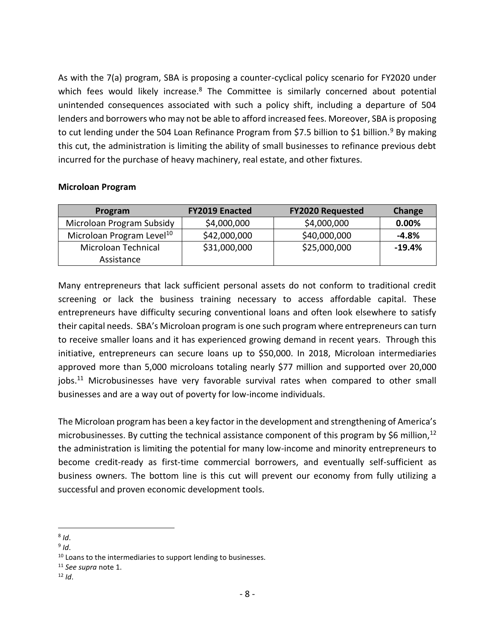As with the 7(a) program, SBA is proposing a counter-cyclical policy scenario for FY2020 under which fees would likely increase.<sup>8</sup> The Committee is similarly concerned about potential unintended consequences associated with such a policy shift, including a departure of 504 lenders and borrowers who may not be able to afford increased fees. Moreover, SBA is proposing to cut lending under the 504 Loan Refinance Program from \$7.5 billion to \$1 billion.<sup>9</sup> By making this cut, the administration is limiting the ability of small businesses to refinance previous debt incurred for the purchase of heavy machinery, real estate, and other fixtures.

# **Program FY2019 Enacted FY2020 Requested Change** Microloan Program Subsidy | \$4,000,000 | \$4,000,000 | **0.00%** Microloan Program Level<sup>10</sup> | \$42,000,000 | \$40,000,000 | -4.8%

#### **Microloan Program**

Microloan Technical Assistance

Many entrepreneurs that lack sufficient personal assets do not conform to traditional credit screening or lack the business training necessary to access affordable capital. These entrepreneurs have difficulty securing conventional loans and often look elsewhere to satisfy their capital needs. SBA's Microloan program is one such program where entrepreneurs can turn to receive smaller loans and it has experienced growing demand in recent years. Through this initiative, entrepreneurs can secure loans up to \$50,000. In 2018, Microloan intermediaries approved more than 5,000 microloans totaling nearly \$77 million and supported over 20,000 jobs.<sup>11</sup> Microbusinesses have very favorable survival rates when compared to other small businesses and are a way out of poverty for low-income individuals.

\$31,000,000 \$25,000,000 **-19.4%**

The Microloan program has been a key factor in the development and strengthening of America's microbusinesses. By cutting the technical assistance component of this program by \$6 million,<sup>12</sup> the administration is limiting the potential for many low-income and minority entrepreneurs to become credit-ready as first-time commercial borrowers, and eventually self-sufficient as business owners. The bottom line is this cut will prevent our economy from fully utilizing a successful and proven economic development tools.

- $\overline{a}$ 8 *Id*.
- 9 *Id*.

<sup>12</sup> *Id*.

 $10$  Loans to the intermediaries to support lending to businesses.

<sup>11</sup> *See supra* note 1.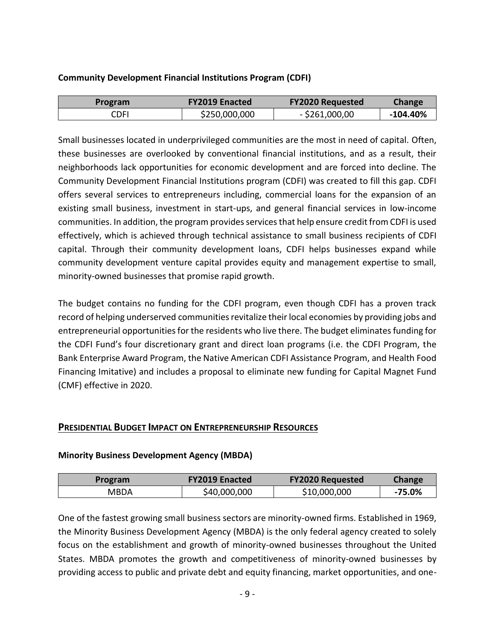#### **Community Development Financial Institutions Program (CDFI)**

| Program | <b>FY2019 Enacted</b> | <b>FY2020 Requested</b> | <b>Change</b> |
|---------|-----------------------|-------------------------|---------------|
| CDFI    | \$250,000,000         | $-$ \$261,000,00        | -104.40%      |

Small businesses located in underprivileged communities are the most in need of capital. Often, these businesses are overlooked by conventional financial institutions, and as a result, their neighborhoods lack opportunities for economic development and are forced into decline. The Community Development Financial Institutions program (CDFI) was created to fill this gap. CDFI offers several services to entrepreneurs including, commercial loans for the expansion of an existing small business, investment in start-ups, and general financial services in low-income communities. In addition, the program provides services that help ensure credit from CDFI is used effectively, which is achieved through technical assistance to small business recipients of CDFI capital. Through their community development loans, CDFI helps businesses expand while community development venture capital provides equity and management expertise to small, minority-owned businesses that promise rapid growth.

The budget contains no funding for the CDFI program, even though CDFI has a proven track record of helping underserved communities revitalize their local economies by providing jobs and entrepreneurial opportunities for the residents who live there. The budget eliminates funding for the CDFI Fund's four discretionary grant and direct loan programs (i.e. the CDFI Program, the Bank Enterprise Award Program, the Native American CDFI Assistance Program, and Health Food Financing Imitative) and includes a proposal to eliminate new funding for Capital Magnet Fund (CMF) effective in 2020.

#### **PRESIDENTIAL BUDGET IMPACT ON ENTREPRENEURSHIP RESOURCES**

#### **Minority Business Development Agency (MBDA)**

| <b>Program</b> | <b>FY2019 Enacted</b> | <b>FY2020 Requested</b> | Change   |
|----------------|-----------------------|-------------------------|----------|
| MBDA           | \$40,000,000          | \$10,000,000            | $-75.0%$ |

One of the fastest growing small business sectors are minority-owned firms. Established in 1969, the Minority Business Development Agency (MBDA) is the only federal agency created to solely focus on the establishment and growth of minority-owned businesses throughout the United States. MBDA promotes the growth and competitiveness of minority-owned businesses by providing access to public and private debt and equity financing, market opportunities, and one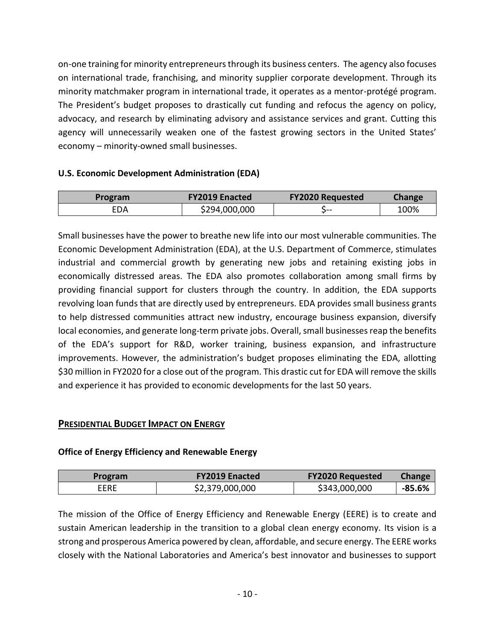on-one training for minority entrepreneurs through its business centers. The agency also focuses on international trade, franchising, and minority supplier corporate development. Through its minority matchmaker program in international trade, it operates as a mentor-protégé program. The President's budget proposes to drastically cut funding and refocus the agency on policy, advocacy, and research by eliminating advisory and assistance services and grant. Cutting this agency will unnecessarily weaken one of the fastest growing sectors in the United States' economy – minority-owned small businesses.

# **U.S. Economic Development Administration (EDA)**

| <b>Program</b> | <b>FY2019 Enacted</b> | <b>FY2020 Requested</b> | Change |
|----------------|-----------------------|-------------------------|--------|
| EDA            | \$294,000,000         |                         | 100%   |

Small businesses have the power to breathe new life into our most vulnerable communities. The Economic Development Administration (EDA), at the U.S. Department of Commerce, stimulates industrial and commercial growth by generating new jobs and retaining existing jobs in economically distressed areas. The EDA also promotes collaboration among small firms by providing financial support for clusters through the country. In addition, the EDA supports revolving loan funds that are directly used by entrepreneurs. EDA provides small business grants to help distressed communities attract new industry, encourage business expansion, diversify local economies, and generate long-term private jobs. Overall, small businesses reap the benefits of the EDA's support for R&D, worker training, business expansion, and infrastructure improvements. However, the administration's budget proposes eliminating the EDA, allotting \$30 million in FY2020 for a close out of the program. This drastic cut for EDA will remove the skills and experience it has provided to economic developments for the last 50 years.

# **PRESIDENTIAL BUDGET IMPACT ON ENERGY**

#### **Office of Energy Efficiency and Renewable Energy**

| Program | <b>FY2019 Enacted</b> | <b>FY2020 Requested</b> | Change   |
|---------|-----------------------|-------------------------|----------|
| EERE    | \$2,379,000,000       | \$343,000,000           | $-85.6%$ |

The mission of the Office of Energy Efficiency and Renewable Energy (EERE) is to create and sustain American leadership in the transition to a global clean energy economy. Its vision is a strong and prosperous America powered by clean, affordable, and secure energy. The EERE works closely with the National Laboratories and America's best innovator and businesses to support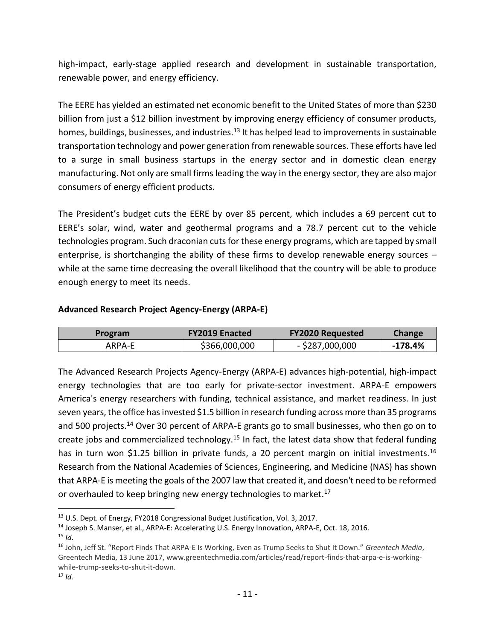high-impact, early-stage applied research and development in sustainable transportation, renewable power, and energy efficiency.

The EERE has yielded an estimated net economic benefit to the United States of more than \$230 billion from just a \$12 billion investment by improving energy efficiency of consumer products, homes, buildings, businesses, and industries.<sup>13</sup> It has helped lead to improvements in sustainable transportation technology and power generation from renewable sources. These efforts have led to a surge in small business startups in the energy sector and in domestic clean energy manufacturing. Not only are small firms leading the way in the energy sector, they are also major consumers of energy efficient products.

The President's budget cuts the EERE by over 85 percent, which includes a 69 percent cut to EERE's solar, wind, water and geothermal programs and a 78.7 percent cut to the vehicle technologies program. Such draconian cutsfor these energy programs, which are tapped by small enterprise, is shortchanging the ability of these firms to develop renewable energy sources – while at the same time decreasing the overall likelihood that the country will be able to produce enough energy to meet its needs.

#### **Advanced Research Project Agency-Energy (ARPA-E)**

| Program | <b>FY2019 Enacted</b> | <b>FY2020 Requested</b> | <b>Change</b> |
|---------|-----------------------|-------------------------|---------------|
| ARPA-E  | \$366,000,000         | $-$ \$287,000,000       | $-178.4%$     |

The Advanced Research Projects Agency-Energy (ARPA-E) advances high-potential, high-impact energy technologies that are too early for private-sector investment. ARPA-E empowers America's energy researchers with funding, technical assistance, and market readiness. In just seven years, the office has invested \$1.5 billion in research funding across more than 35 programs and 500 projects.<sup>14</sup> Over 30 percent of ARPA-E grants go to small businesses, who then go on to create jobs and commercialized technology.<sup>15</sup> In fact, the latest data show that federal funding has in turn won \$1.25 billion in private funds, a 20 percent margin on initial investments.<sup>16</sup> Research from the National Academies of Sciences, Engineering, and Medicine (NAS) has shown that ARPA-E is meeting the goals of the 2007 law that created it, and doesn't need to be reformed or overhauled to keep bringing new energy technologies to market.<sup>17</sup>

<sup>13</sup> U.S. Dept. of Energy, FY2018 Congressional Budget Justification, Vol. 3, 2017.

<sup>14</sup> Joseph S. Manser, et al., ARPA-E: Accelerating U.S. Energy Innovation, ARPA-E, Oct. 18, 2016.

 $15$  *Id.* 

<sup>16</sup> John, Jeff St. "Report Finds That ARPA-E Is Working, Even as Trump Seeks to Shut It Down." *Greentech Media*, Greentech Media, 13 June 2017, www.greentechmedia.com/articles/read/report-finds-that-arpa-e-is-workingwhile-trump-seeks-to-shut-it-down.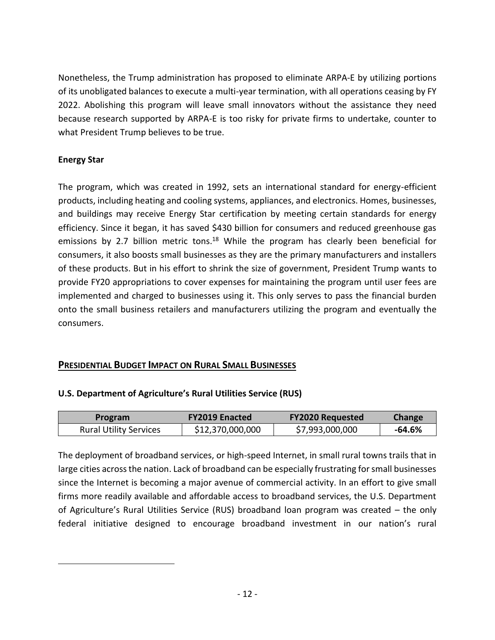Nonetheless, the Trump administration has proposed to eliminate ARPA-E by utilizing portions of its unobligated balances to execute a multi-year termination, with all operations ceasing by FY 2022. Abolishing this program will leave small innovators without the assistance they need because research supported by ARPA-E is too risky for private firms to undertake, counter to what President Trump believes to be true.

# **Energy Star**

 $\overline{a}$ 

The program, which was created in 1992, sets an international standard for energy-efficient products, including heating and cooling systems, appliances, and electronics. Homes, businesses, and buildings may receive Energy Star certification by meeting certain standards for energy efficiency. Since it began, it has saved \$430 billion for consumers and reduced greenhouse gas emissions by 2.7 billion metric tons.<sup>18</sup> While the program has clearly been beneficial for consumers, it also boosts small businesses as they are the primary manufacturers and installers of these products. But in his effort to shrink the size of government, President Trump wants to provide FY20 appropriations to cover expenses for maintaining the program until user fees are implemented and charged to businesses using it. This only serves to pass the financial burden onto the small business retailers and manufacturers utilizing the program and eventually the consumers.

# **PRESIDENTIAL BUDGET IMPACT ON RURAL SMALL BUSINESSES**

# **U.S. Department of Agriculture's Rural Utilities Service (RUS)**

| Program                       | <b>FY2019 Enacted</b> | <b>FY2020 Requested</b> | <b>Change</b> |
|-------------------------------|-----------------------|-------------------------|---------------|
| <b>Rural Utility Services</b> | \$12,370,000,000      | \$7,993,000,000         | -64.6%        |

The deployment of broadband services, or high-speed Internet, in small rural towns trails that in large cities across the nation. Lack of broadband can be especially frustrating for small businesses since the Internet is becoming a major avenue of commercial activity. In an effort to give small firms more readily available and affordable access to broadband services, the U.S. Department of Agriculture's Rural Utilities Service (RUS) broadband loan program was created – the only federal initiative designed to encourage broadband investment in our nation's rural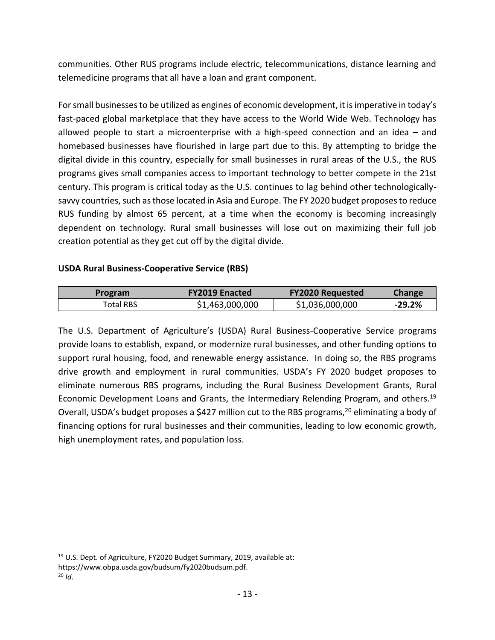communities. Other RUS programs include electric, telecommunications, distance learning and telemedicine programs that all have a loan and grant component.

Forsmall businesses to be utilized as engines of economic development, it is imperative in today's fast-paced global marketplace that they have access to the World Wide Web. Technology has allowed people to start a microenterprise with a high-speed connection and an idea – and homebased businesses have flourished in large part due to this. By attempting to bridge the digital divide in this country, especially for small businesses in rural areas of the U.S., the RUS programs gives small companies access to important technology to better compete in the 21st century. This program is critical today as the U.S. continues to lag behind other technologicallysavvy countries, such as those located in Asia and Europe. The FY 2020 budget proposes to reduce RUS funding by almost 65 percent, at a time when the economy is becoming increasingly dependent on technology. Rural small businesses will lose out on maximizing their full job creation potential as they get cut off by the digital divide.

#### **USDA Rural Business-Cooperative Service (RBS)**

| <b>Program</b> | <b>FY2019 Enacted</b> | <b>FY2020 Requested</b> | <b>Change</b> |
|----------------|-----------------------|-------------------------|---------------|
| Total RBS      | \$1,463,000,000       | \$1,036,000,000         | $-29.2%$      |

The U.S. Department of Agriculture's (USDA) Rural Business-Cooperative Service programs provide loans to establish, expand, or modernize rural businesses, and other funding options to support rural housing, food, and renewable energy assistance. In doing so, the RBS programs drive growth and employment in rural communities. USDA's FY 2020 budget proposes to eliminate numerous RBS programs, including the Rural Business Development Grants, Rural Economic Development Loans and Grants, the Intermediary Relending Program, and others.<sup>19</sup> Overall, USDA's budget proposes a \$427 million cut to the RBS programs,<sup>20</sup> eliminating a body of financing options for rural businesses and their communities, leading to low economic growth, high unemployment rates, and population loss.

<sup>19</sup> U.S. Dept. of Agriculture, FY2020 Budget Summary, 2019, available at: https://www.obpa.usda.gov/budsum/fy2020budsum.pdf.

 $20$  *Id.*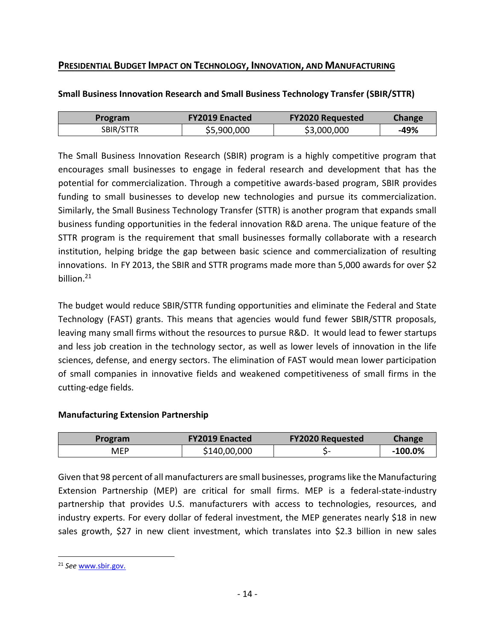# **PRESIDENTIAL BUDGET IMPACT ON TECHNOLOGY, INNOVATION, AND MANUFACTURING**

# **Program FY2019 Enacted FY2020 Requested Change** SBIR/STTR  $\begin{array}{|c|c|c|c|c|c|} \hline \text{S5,900,000} & \text{S3,000,000} & \text{ } & \text{-49\%} \hline \end{array}$

**Small Business Innovation Research and Small Business Technology Transfer (SBIR/STTR)**

The Small Business Innovation Research (SBIR) program is a highly competitive program that encourages small businesses to engage in federal research and development that has the potential for commercialization. Through a competitive awards-based program, SBIR provides funding to small businesses to develop new technologies and pursue its commercialization. Similarly, the Small Business Technology Transfer (STTR) is another program that expands small business funding opportunities in the federal innovation R&D arena. The unique feature of the STTR program is the requirement that small businesses formally collaborate with a research institution, helping bridge the gap between basic science and commercialization of resulting innovations. In FY 2013, the SBIR and STTR programs made more than 5,000 awards for over \$2 billion.<sup>21</sup>

The budget would reduce SBIR/STTR funding opportunities and eliminate the Federal and State Technology (FAST) grants. This means that agencies would fund fewer SBIR/STTR proposals, leaving many small firms without the resources to pursue R&D. It would lead to fewer startups and less job creation in the technology sector, as well as lower levels of innovation in the life sciences, defense, and energy sectors. The elimination of FAST would mean lower participation of small companies in innovative fields and weakened competitiveness of small firms in the cutting-edge fields.

#### **Manufacturing Extension Partnership**

| Program | <b>FY2019 Enacted</b> | <b>FY2020 Requested</b> | <b>Change</b> |
|---------|-----------------------|-------------------------|---------------|
| MEP     | \$140,00,000          |                         | $-100.0%$     |

Given that 98 percent of all manufacturers are small businesses, programs like the Manufacturing Extension Partnership (MEP) are critical for small firms. MEP is a federal-state-industry partnership that provides U.S. manufacturers with access to technologies, resources, and industry experts. For every dollar of federal investment, the MEP generates nearly \$18 in new sales growth, \$27 in new client investment, which translates into \$2.3 billion in new sales

<sup>21</sup> *See* [www.sbir.gov.](http://www.sbir.gov/)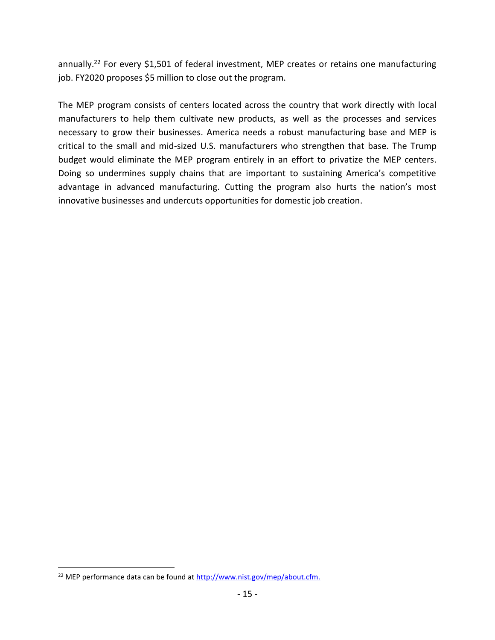annually.<sup>22</sup> For every \$1,501 of federal investment, MEP creates or retains one manufacturing job. FY2020 proposes \$5 million to close out the program.

The MEP program consists of centers located across the country that work directly with local manufacturers to help them cultivate new products, as well as the processes and services necessary to grow their businesses. America needs a robust manufacturing base and MEP is critical to the small and mid-sized U.S. manufacturers who strengthen that base. The Trump budget would eliminate the MEP program entirely in an effort to privatize the MEP centers. Doing so undermines supply chains that are important to sustaining America's competitive advantage in advanced manufacturing. Cutting the program also hurts the nation's most innovative businesses and undercuts opportunities for domestic job creation.

<sup>&</sup>lt;sup>22</sup> MEP performance data can be found at [http://www.nist.gov/mep/about.cfm.](http://www.nist.gov/mep/about.cfm)